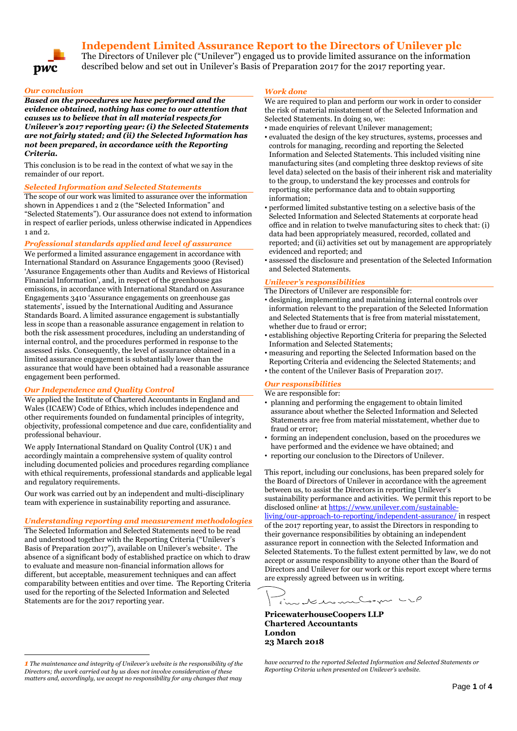# **Independent Limited Assurance Report to the Directors of Unilever plc**



The Directors of Unilever plc ("Unilever") engaged us to provide limited assurance on the information described below and set out in Unilever's Basis of Preparation 2017 for the 2017 reporting year.

#### *Our conclusion*

*Based on the procedures we have performed and the evidence obtained, nothing has come to our attention that causes us to believe that in all material respects for Unilever's 2017 reporting year: (i) the Selected Statements are not fairly stated; and (ii) the Selected Information has not been prepared***,** *in accordance with the Reporting Criteria.*

This conclusion is to be read in the context of what we say in the remainder of our report.

#### *Selected Information and Selected Statements*

The scope of our work was limited to assurance over the information shown in Appendices 1 and 2 (the "Selected Information" and "Selected Statements"). Our assurance does not extend to information in respect of earlier periods, unless otherwise indicated in Appendices 1 and 2.

#### *Professional standards applied and level of assurance*

We performed a limited assurance engagement in accordance with International Standard on Assurance Engagements 3000 (Revised) 'Assurance Engagements other than Audits and Reviews of Historical Financial Information', and, in respect of the greenhouse gas emissions, in accordance with International Standard on Assurance Engagements 3410 'Assurance engagements on greenhouse gas statements', issued by the International Auditing and Assurance Standards Board. A limited assurance engagement is substantially less in scope than a reasonable assurance engagement in relation to both the risk assessment procedures, including an understanding of internal control, and the procedures performed in response to the assessed risks. Consequently, the level of assurance obtained in a limited assurance engagement is substantially lower than the assurance that would have been obtained had a reasonable assurance engagement been performed.

#### *Our Independence and Quality Control*

We applied the Institute of Chartered Accountants in England and Wales (ICAEW) Code of Ethics, which includes independence and other requirements founded on fundamental principles of integrity, objectivity, professional competence and due care, confidentiality and professional behaviour.

We apply International Standard on Ouality Control (UK) 1 and accordingly maintain a comprehensive system of quality control including documented policies and procedures regarding compliance with ethical requirements, professional standards and applicable legal and regulatory requirements.

Our work was carried out by an independent and multi-disciplinary team with experience in sustainability reporting and assurance.

#### *Understanding reporting and measurement methodologies*

The Selected Information and Selected Statements need to be read and understood together with the Reporting Criteria ("Unilever's Basis of Preparation 2017"), available on Unilever's website*<sup>1</sup>* . The absence of a significant body of established practice on which to draw to evaluate and measure non-financial information allows for different, but acceptable, measurement techniques and can affect comparability between entities and over time. The Reporting Criteria used for the reporting of the Selected Information and Selected Statements are for the 2017 reporting year.

 $\overline{a}$ 

#### *Work done*

We are required to plan and perform our work in order to consider the risk of material misstatement of the Selected Information and Selected Statements. In doing so, we:

- made enquiries of relevant Unilever management;
- evaluated the design of the key structures, systems, processes and controls for managing, recording and reporting the Selected Information and Selected Statements. This included visiting nine manufacturing sites (and completing three desktop reviews of site level data) selected on the basis of their inherent risk and materiality to the group, to understand the key processes and controls for reporting site performance data and to obtain supporting information;
- performed limited substantive testing on a selective basis of the Selected Information and Selected Statements at corporate head office and in relation to twelve manufacturing sites to check that: (i) data had been appropriately measured, recorded, collated and reported; and (ii) activities set out by management are appropriately evidenced and reported; and
- assessed the disclosure and presentation of the Selected Information and Selected Statements.

### *Unilever's responsibilities*

The Directors of Unilever are responsible for:

- designing, implementing and maintaining internal controls over information relevant to the preparation of the Selected Information and Selected Statements that is free from material misstatement, whether due to fraud or error;
- establishing objective Reporting Criteria for preparing the Selected Information and Selected Statements;
- measuring and reporting the Selected Information based on the Reporting Criteria and evidencing the Selected Statements; and
- the content of the Unilever Basis of Preparation 2017.

### *Our responsibilities*

We are responsible for:

- planning and performing the engagement to obtain limited assurance about whether the Selected Information and Selected Statements are free from material misstatement, whether due to fraud or error;
- forming an independent conclusion, based on the procedures we have performed and the evidence we have obtained; and
- reporting our conclusion to the Directors of Unilever.

This report, including our conclusions, has been prepared solely for the Board of Directors of Unilever in accordance with the agreement between us, to assist the Directors in reporting Unilever's sustainability performance and activities. We permit this report to be disclosed online*<sup>1</sup>* at [https://www.unilever.com/sustainable](https://www.unilever.com/sustainable-living/our-approach-to-reporting/independent-assurance/)[living/our-approach-to-reporting/independent-assurance/](https://www.unilever.com/sustainable-living/our-approach-to-reporting/independent-assurance/) in respect of the 2017 reporting year, to assist the Directors in responding to their governance responsibilities by obtaining an independent assurance report in connection with the Selected Information and Selected Statements. To the fullest extent permitted by law, we do not accept or assume responsibility to anyone other than the Board of Directors and Unilever for our work or this report except where terms are expressly agreed between us in writing.

im de manufação ULP

**PricewaterhouseCoopers LLP Chartered Accountants London 23 March 2018**

*<sup>1</sup> The maintenance and integrity of Unilever's website is the responsibility of the Directors; the work carried out by us does not involve consideration of these*  matters and, accordingly, we accept no responsibility for any changes that may

*have occurred to the reported Selected Information and Selected Statements or Reporting Criteria when presented on Unilever's website.*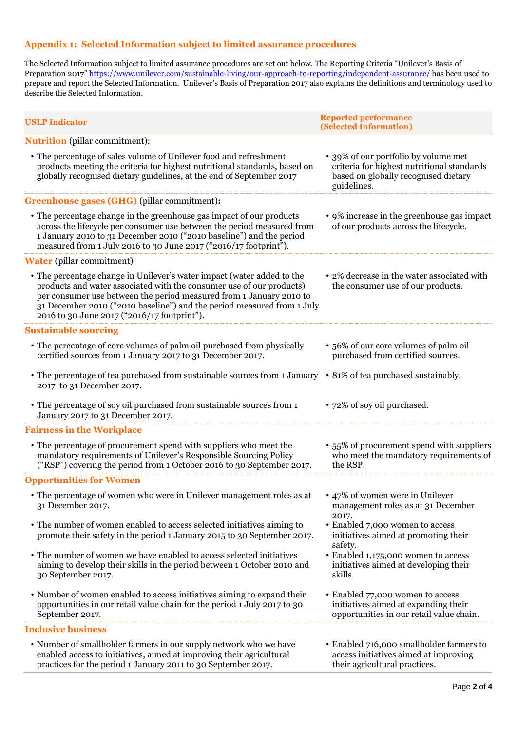## **Appendix 1: Selected Information subject to limited assurance procedures**

The Selected Information subject to limited assurance procedures are set out below. The Reporting Criteria "Unilever's Basis of Preparation 2017" <https://www.unilever.com/sustainable-living/our-approach-to-reporting/independent-assurance/> has been used to prepare and report the Selected Information. Unilever's Basis of Preparation 2017 also explains the definitions and terminology used to describe the Selected Information.

| <b>USLP Indicator</b>                                                                                                                                                                                                                                                                                                                          | <b>Reported performance</b><br>(Selected Information)                                                                                     |  |
|------------------------------------------------------------------------------------------------------------------------------------------------------------------------------------------------------------------------------------------------------------------------------------------------------------------------------------------------|-------------------------------------------------------------------------------------------------------------------------------------------|--|
| <b>Nutrition</b> (pillar commitment):                                                                                                                                                                                                                                                                                                          |                                                                                                                                           |  |
| • The percentage of sales volume of Unilever food and refreshment<br>products meeting the criteria for highest nutritional standards, based on<br>globally recognised dietary guidelines, at the end of September 2017                                                                                                                         | • 39% of our portfolio by volume met<br>criteria for highest nutritional standards<br>based on globally recognised dietary<br>guidelines. |  |
| Greenhouse gases (GHG) (pillar commitment):                                                                                                                                                                                                                                                                                                    |                                                                                                                                           |  |
| • The percentage change in the greenhouse gas impact of our products<br>across the lifecycle per consumer use between the period measured from<br>1 January 2010 to 31 December 2010 ("2010 baseline") and the period<br>measured from 1 July 2016 to 30 June 2017 ("2016/17 footprint").                                                      | • 9% increase in the greenhouse gas impact<br>of our products across the lifecycle.                                                       |  |
| <b>Water</b> (pillar commitment)                                                                                                                                                                                                                                                                                                               |                                                                                                                                           |  |
| • The percentage change in Unilever's water impact (water added to the<br>products and water associated with the consumer use of our products)<br>per consumer use between the period measured from 1 January 2010 to<br>31 December 2010 ("2010 baseline") and the period measured from 1 July<br>2016 to 30 June 2017 ("2016/17 footprint"). | • 2% decrease in the water associated with<br>the consumer use of our products.                                                           |  |
| <b>Sustainable sourcing</b>                                                                                                                                                                                                                                                                                                                    |                                                                                                                                           |  |
| • The percentage of core volumes of palm oil purchased from physically<br>certified sources from 1 January 2017 to 31 December 2017.                                                                                                                                                                                                           | • 56% of our core volumes of palm oil<br>purchased from certified sources.                                                                |  |
| • The percentage of tea purchased from sustainable sources from 1 January • 81% of tea purchased sustainably.<br>2017 to 31 December 2017.                                                                                                                                                                                                     |                                                                                                                                           |  |
| • The percentage of soy oil purchased from sustainable sources from 1<br>January 2017 to 31 December 2017.                                                                                                                                                                                                                                     | • 72% of soy oil purchased.                                                                                                               |  |
| <b>Fairness in the Workplace</b>                                                                                                                                                                                                                                                                                                               |                                                                                                                                           |  |
| • The percentage of procurement spend with suppliers who meet the<br>mandatory requirements of Unilever's Responsible Sourcing Policy<br>("RSP") covering the period from 1 October 2016 to 30 September 2017.                                                                                                                                 | • 55% of procurement spend with suppliers<br>who meet the mandatory requirements of<br>the RSP.                                           |  |
| <b>Opportunities for Women</b>                                                                                                                                                                                                                                                                                                                 |                                                                                                                                           |  |
| • The percentage of women who were in Unilever management roles as at<br>31 December 2017.                                                                                                                                                                                                                                                     | • 47% of women were in Unilever<br>management roles as at 31 December<br>2017.                                                            |  |
| • The number of women enabled to access selected initiatives aiming to<br>promote their safety in the period 1 January 2015 to 30 September 2017.                                                                                                                                                                                              | • Enabled 7,000 women to access<br>initiatives aimed at promoting their<br>safety.                                                        |  |
| • The number of women we have enabled to access selected initiatives<br>aiming to develop their skills in the period between 1 October 2010 and<br>30 September 2017.                                                                                                                                                                          | • Enabled 1,175,000 women to access<br>initiatives aimed at developing their<br>skills.                                                   |  |
| • Number of women enabled to access initiatives aiming to expand their<br>opportunities in our retail value chain for the period 1 July 2017 to 30<br>September 2017.                                                                                                                                                                          | • Enabled 77,000 women to access<br>initiatives aimed at expanding their<br>opportunities in our retail value chain.                      |  |
| <b>Inclusive business</b>                                                                                                                                                                                                                                                                                                                      |                                                                                                                                           |  |
| • Number of smallholder farmers in our supply network who we have<br>enabled access to initiatives, aimed at improving their agricultural<br>practices for the period 1 January 2011 to 30 September 2017.                                                                                                                                     | • Enabled 716,000 smallholder farmers to<br>access initiatives aimed at improving<br>their agricultural practices.                        |  |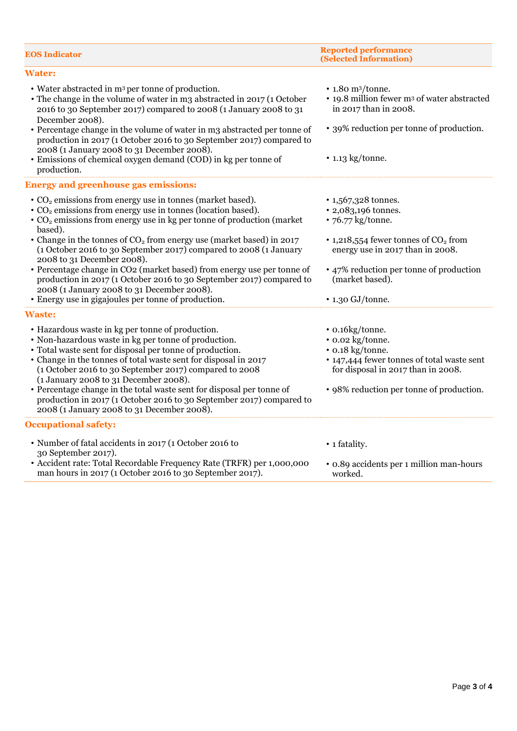| <b>EOS Indicator</b>                                                                                                                                                                                                                                   | <b>Reported performance</b><br>(Selected Information)                                                                   |
|--------------------------------------------------------------------------------------------------------------------------------------------------------------------------------------------------------------------------------------------------------|-------------------------------------------------------------------------------------------------------------------------|
| <b>Water:</b>                                                                                                                                                                                                                                          |                                                                                                                         |
| • Water abstracted in m <sup>3</sup> per tonne of production.<br>• The change in the volume of water in m3 abstracted in 2017 (1 October<br>2016 to 30 September 2017) compared to 2008 (1 January 2008 to 31<br>December 2008).                       | $\cdot$ 1.80 m <sup>3</sup> /tonne.<br>• 19.8 million fewer m <sup>3</sup> of water abstracted<br>in 2017 than in 2008. |
| • Percentage change in the volume of water in m3 abstracted per tonne of<br>production in 2017 (1 October 2016 to 30 September 2017) compared to<br>2008 (1 January 2008 to 31 December 2008).                                                         | • 39% reduction per tonne of production.                                                                                |
| • Emissions of chemical oxygen demand (COD) in kg per tonne of<br>production.                                                                                                                                                                          | $\cdot$ 1.13 kg/tonne.                                                                                                  |
| <b>Energy and greenhouse gas emissions:</b>                                                                                                                                                                                                            |                                                                                                                         |
| • CO <sub>2</sub> emissions from energy use in tonnes (market based).<br>• CO <sub>2</sub> emissions from energy use in tonnes (location based).<br>$\cdot$ CO <sub>2</sub> emissions from energy use in kg per tonne of production (market<br>based). | • 1,567,328 tonnes.<br>• 2,083,196 tonnes.<br>• 76.77 kg/tonne.                                                         |
| • Change in the tonnes of CO <sub>2</sub> from energy use (market based) in 2017<br>(1 October 2016 to 30 September 2017) compared to 2008 (1 January<br>2008 to 31 December 2008).                                                                    | • 1,218,554 fewer tonnes of $CO2$ from<br>energy use in 2017 than in 2008.                                              |
| • Percentage change in CO2 (market based) from energy use per tonne of<br>production in 2017 (1 October 2016 to 30 September 2017) compared to<br>2008 (1 January 2008 to 31 December 2008).<br>• Energy use in gigajoules per tonne of production.    | • 47% reduction per tonne of production<br>(market based).<br>$\cdot$ 1.30 GJ/tonne.                                    |
| <b>Waste:</b>                                                                                                                                                                                                                                          |                                                                                                                         |
| • Hazardous waste in kg per tonne of production.                                                                                                                                                                                                       | • 0.16kg/tonne.                                                                                                         |
| • Non-hazardous waste in kg per tonne of production.                                                                                                                                                                                                   | • 0.02 kg/tonne.                                                                                                        |
| • Total waste sent for disposal per tonne of production.                                                                                                                                                                                               | • 0.18 kg/tonne.                                                                                                        |
| • Change in the tonnes of total waste sent for disposal in 2017<br>(1 October 2016 to 30 September 2017) compared to 2008<br>(1 January 2008 to 31 December 2008).                                                                                     | • 147,444 fewer tonnes of total waste sent<br>for disposal in 2017 than in 2008.                                        |
| • Percentage change in the total waste sent for disposal per tonne of<br>production in 2017 (1 October 2016 to 30 September 2017) compared to<br>2008 (1 January 2008 to 31 December 2008).                                                            | • 98% reduction per tonne of production.                                                                                |
| <b>Occupational safety:</b>                                                                                                                                                                                                                            |                                                                                                                         |
| • Number of fatal accidents in 2017 (1 October 2016 to                                                                                                                                                                                                 | • 1 fatality.                                                                                                           |
| 30 September 2017).<br>· Accident rate: Total Recordable Frequency Rate (TRFR) per 1,000,000<br>man hours in 2017 (1 October 2016 to 30 September 2017).                                                                                               | • 0.89 accidents per 1 million man-hours<br>worked.                                                                     |